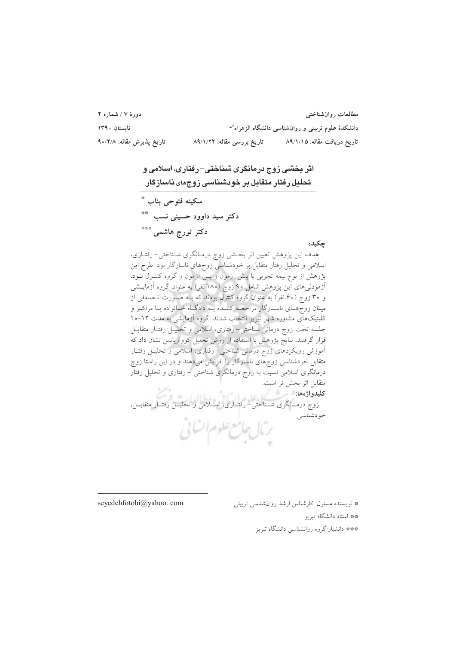| دورهٔ ۷ / شماره ۲         |                            | مطالعات روانشناختبي                                |
|---------------------------|----------------------------|----------------------------------------------------|
| تابستان ۱۳۹۰              |                            | دانشکدهٔ علوم تربیتی و روانشناسی دانشگاه الزهراء ّ |
| تارىخ پذيرش مقاله: ٩٥/٢/٨ | تاریخ بررسی مقاله: ۸۹/۱/۲۲ | تاریخ دریافت مقاله: ۸۹/۱/۱۵                        |

چکیده هدف این پژوهش تعیین اثر بخشی زوج درمـانگری شـناختی- رفتـاری، اسلامی و تحلیل رفتار متقابل بر خودشناسی زوجهای ناسازگار بود. طرح این پژوهش از نوع نیمه تجربی با پیش آزمون و پس آزمون و گروه کنتـرل بــود. آزمودنیهای این پژوهش شامل ۹۰ زوج (۱۸۰ نفر) به عنوان گروه آزمایـشی و ۳۰ زوج (۶۰ نفر) به عنوان گروه کنترل بودند که بـه صـورت تـصادفی از میـان زوجهـای ناسـازگار مراجعــه کننــده بــه دادگــاه خــانواده يــا مراكــز و کلینیکهای مشاوره شهر تبریز انتخاب شدند. گروه آزمایشی به مدت ۱۲-۱۰ جلسه تحت زوج درمانی شناختی– رفتاری، اسلامی و تحلیــل رفتــار متقابــل قرار گرفتند. نتایج پژوهش با استفاده از روش تحلیل کوواریانس نشان داد که آموزش رویکردهای زوج درمانی شناختی- رفتاری، اسلامی و تحلیـل رفتـار متقابل خودشناسی زوجهای ناسازگار را افزایش میدهند و در این راستا زوج درمانگری اسلامی نسبت به زوج درمانگری شناختی – رفتاری و تحلیل رفتار متقابل اثر بخش تر است. زوج درمــانگری شـــناختی- رفتــاری، اســـلامی و تحليــل رفتــار متقابــل،<br>خودشناسی رمال حامع علوم

seyedehfotohi@yahoo.com

\* نویسنده مسئول: کارشناس ارشد روان شناسی تربیتی

\*\* استاد دانشگاه تیریز

\*\*\* دانشیار گروه روانشناسی دانشگاه تبریز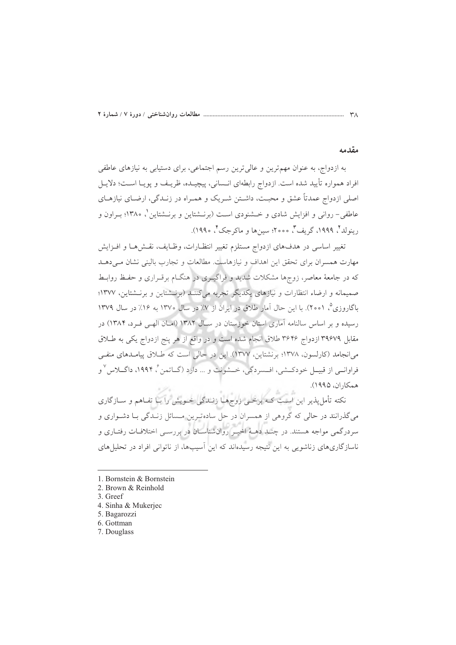#### مقدمه

به ازدواج، به عنوان مهم ترین و عالی ترین رسم اجتماعی، برای دستیابی به نیازهای عاطفی افراد همواره تأييد شده است. ازدواج رابطهاي انــساني، پيچيــده، ظريــف و پويــا اســت؛ دلايــل اصلی ازدواج عمدتاً عشق و محبـت، داشـتن شـریک و همـراه در زنـدگی، ارضـای نیازهـای عاطفی- روانی و افزایش شادی و خــشنودی اسـت (برنــشتاین و برنــشتاین \، ۱۳۸۰؛ بــراون و رينولد ٿي ١٩٩٩، گريف ٿي ٢٥٥٥؛ سين ها ويماڪر جڪ ٿي ١٩٩٥).

تغيير اساسي در هدفهاي ازدواج مستلزم تغيير انتظـارات، وظـايف، نقـش٨هـا و افـزايش مهارت همسران برای تحقق این اهداف و نیازهاست. مطالعات و تجارب بالینی نشان می دهـد که در جامعهٔ معاصر، زوجها مشکلات شدید و فراگیـری در هنگــام برقــراری و حفـظ روابـط صمیمانه و ارضاء انتظارات و نیازهای یکدیگر تجربه میکننـد (برنــشتاین و برنــشتاین، ۱۳۷۷؛ باگاروزی°، ۲۰۰۱). با این حال آمار طلاق در ایران از ۷٪ در سال ۱۳۷۰ به ۱۶٪ در سال ۱۳۷۹ رسیده و بر اساس سالنامه آماری استان خوزستان در سـال ۱۳۸۲ (امـان الهـی فـرد، ۱۳۸۴) در مقابل ۳۹۶۷۹ ازدواج ۳۶۴۶ طلاق انجام شده است و در واقع از هر پنج ازدواج یکی به طلاق میانجامد (کارلسون، ۱۳۷۸؛ برنشتاین، ۱۳۷۷). این در حالی است که طلاق پیامدهای منفی فراوانسي از قبيــل خودكــشي، افــسردگي، خــشونت و … دارد (گــاتمن ً، ۱۹۹۴، داگـــلاس ٌ و همكاران، ١٩٩٥).

نکته تأمل پذیر این است کـه برخـی زوجهـا زنــدگی خـویش را بـا تفـاهم و ســازگاری میگذرانند در حالی که گروهی از همسران در حل سادهترین مسائل زنـدگی بـا دشـواری و سردرگمی مواجه هستند. در چنـد دهـهٔ اخیـر روانشناسـان در بررسـی اختلافـات رفتـاری و ناسازگاریهای زناشویی به این نتیجه رسیدهاند که این آسیبها، از ناتوانی افراد در تحلیلهای

- 1. Bornstein & Bornstein
- 2. Brown & Reinhold
- 3. Greef
- 4. Sinha & Mukerjec
- 5. Bagarozzi
- 6. Gottman
- 7. Douglass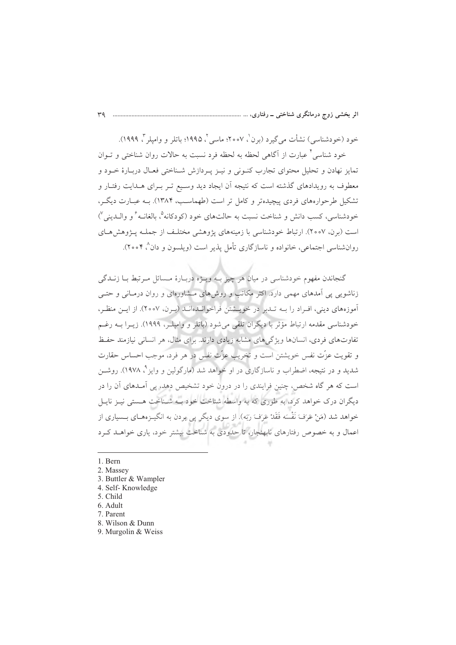خود (خودشناسی) نشأت می گیرد (برن<sup>'</sup>، ۲۰۰۷؛ ماسی آ، ۱۹۹۵؛ باتلر و وامیلر <sup>۳</sup>، ۱۹۹۹). خود شناسی ٌ عبارت از آگاهی لحظه به لحظه فرد نسبت به حالات روان شناختی و تــوان تمایز نهادن و تحلیل محتوای تجارب کنـونی و نیـز پـردازش شـناختی فعـال دربـارهٔ خـود و معطوف به رویدادهای گذشته است که نتیجه آن ایجاد دید وسـیع تـر بـرای هــدایت رفتـار و تشکیل طرحوارههای فردی پیچیدهتر و کامل تر است (طهماسـب، ۱۳۸۴). بــه عبــارت دیگــر، خودشناسي، كسب دانش و شناخت نسبت به حالتهاي خود (كودكانه<sup>0</sup>، بالغانيه<sup>۶</sup>و واليديني<sup>7</sup>) است (برن، ٢٥٥٧). ارتباط خودشناسی با زمینههای پژوهشی مختلف از جملـه پـژوهش هـای روانشناسی اجتماعی، خانواده و ناسازگاری تأمل پذیر است (ویلسون و دان^، ۲۰۰۴).

گنجاندن مفهوم خودشناسی در میان هر چیز بـه ویـژه دربـارهٔ مـسائل مـرتبط بـا زنــدگی زناشویی یی آمدهای مهمی دارد. اکثر مکاتب و روشهای مشاورهای و روان درمـانی و حتـی آموزههای دینی، افـراد را بــه تــدبر در خویــشتن فراخوانــدهانــد (بــرن، ۲۰۰۷). از ایــن منظـر، خودشناسی مقدمه ارتباط مؤثر با دیگران تلقی میشود (باتلر و وامیلـر، ۱۹۹۹). زیــرا بــه رغــم تفاوتهای فردی، انسانها ویژگیهای مشابه زیادی دارند. برای مثال، هر انسانی نیازمند حفظ و تقويت عزَّت نفس خويشتن است و تخريب عزَّت نفس در هر فرد، موجب احساس حقارت شدید و در نتیجه، اضطراب و ناسازگاری در او خواهد شد (مارگولین و وایز °، ۱۹۷۸). روشــن است که هر گاه شخص، چنین فرایندی را در درون خود تشخیص دهد، پی آمـدهای آن را در دیگران درک خواهد کرد، به طوری که به واسطه شناخت خود بـه شـناخت هـستی نیـز نایـل خواهد شد (مَنْ عَرَفَ نَفْسَه فَقَدْ عَرَفَ رَبَه). از سوى ديگر يې بردن به انگيـزههـاي بــسياري از اعمال و به خصوص رفتارهای نابهنجار، تا حدودی به شناخت پیشتر خود، باری خواهید کیرد

1. Bern

2. Massey

3. Buttler & Wampler

4. Self-Knowledge

5. Child

6. Adult

7. Parent

8. Wilson & Dunn

9. Murgolin & Weiss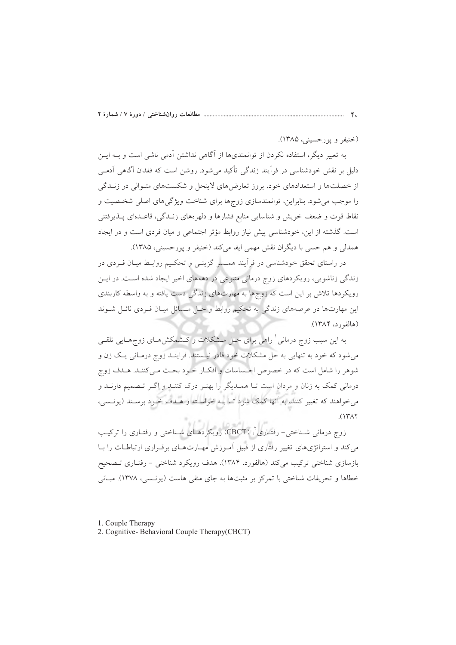(خنيفر و يورحسيني، ١٣٨۵).

به تعبیر دیگر، استفاده نکردن از توانمندیها از آگاهی نداشتن آدمی ناشی است و بــه ایــن دلیل بر نقش خودشناسی در فرآیند زندگی تأکید می شود. روشن است که فقدان آگاهی آدمـی از خصلتها و استعدادهای خود، بروز تعارضهای لاینحل و شکستهای متـوالی در زنــدگی را موجب می شود. بنابراین، توانمندسازی زوجها برای شناخت ویژگیهای اصلی شخصیت و نقاط قوت و ضعف خویش و شناسایی منابع فشارها و دلهرههای زنـدگی، قاعـدهای پــذیرفتنی است. گذشته از این، خودشناسی پیش نیاز روابط مؤثر اجتماعی و میان فردی است و در ایجاد همدلي و هم حسي با ديگران نقش مهمي ايفا مي كند (خنيفر و پورحسيني، ١٣٨۵).

در راستای تحقق خودشناسی در فرایند همـــسر گزینــی و تحکــیم روابــط میــان فــردی در زندگی زناشویی، رویکردهای زوج درمانی متنوعی در دهههای اخیر ایجاد شده است. در ایس رویکردها تلاش بر این است که زوجها به مهارتهای زندگی دست یافته و به واسطه کاربندی این مهارتها در عرصههای زندگی به تحکیم روابط و حـل مـسائل میـان فـردی نائـل شـوند (هالفورد، ۱۳۸۴).

به این سبب زوج درمانی ٰ راهی برای حـل مــشکلات و کــشمکش۵ــای زوجهــایی تلقــی می شود که خود به تنهایی به حل مشکلات خود قادر نیستند. فراینــد زوج درمــانـی یــک زن و شوهر را شامل است كه در خصوص احساسات و افكـار خـود بحـث مـى كننـد. هـدف زوج درمانی کمک به زنان و مردان است تـا همـدیگر را بهتـر درک کننـد و اگـر تـصمیم دارنـد و می خواهند که تغییر کنند، به آنها کمک شود تـا بـه خواسـته و هـدف خـود برسـند (یونـسی،  $(147)$ 

زوج درمانی شـناختی- رفتـاری ٌ، (CBCT) رویکردهـای شـناختی و رفتـاری را ترکیـب می کند و استراتژیهای تغییر رفتاری از قبیل آموزش مهـارتهـای برقـراری ارتباطـات را بـا بازسازی شناختی ترکیب میکند (هالفورد، ۱۳۸۴). هدف رویکرد شناختی - رفتـاری تـصحیح خطاها و تحریفات شناختی با تمرکز بر مثبتها به جای منفی هاست (پونسی، ۱۳۷۸). مبانی

<sup>1.</sup> Couple Therapy

<sup>2.</sup> Cognitive-Behavioral Couple Therapy(CBCT)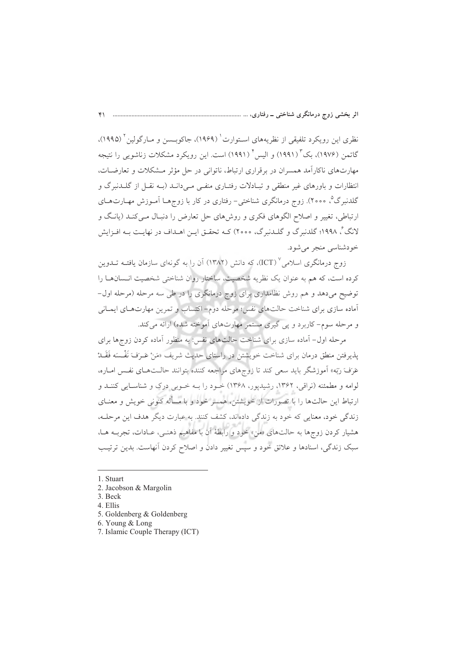نظري اين رويكرد تلفيقي از نظريههاي اسـتوارت' (١٩۶٩)، جاكوبــسن و مــارگولين' (١٩٩٥)، گاتمن (۱۹۷۶)، بک ٔ (۱۹۹۱) و الیس ٔ (۱۹۹۱) است. این رویکرد مشکلات زناشویی را نتیجه مهارتهای ناکارآمد همسران در برقراری ارتباط، ناتوانی در حل مؤثر مـشکلات و تعارضـات، انتظارات و باورهای غیر منطقی و تبـادلات رفتـاری منفـی مـی دانـد (بـه نقـل از گلــدنبرگ و گلدنبرگ°، ۲۰۰۰). زوج درمانگری شناختی− رفتاری در کار با زوجهـا اَمـوزش مهـارتهـای ارتباطی، تغییر و اصلاح الگوهای فکری و روش های حل تعارض را دنبـال مـی کنـد (پانـگ و لانگ ؒ، ۱۹۹۸؛ گلدنبرگ و گلـدنبرگ، ۲۰۰۰) کـه تحقـق ايــن اهــداف در نهايـت بــه افــزايش خودشناسي منجر مي شود.

زوج درمانگری اسلامی (ICT)، که دانش (۱۳۸۲) آن را به گونهای سازمان یافتـه تــدوین كرده است، كه هم به عنوان يك نظريه شخصيت، ساختار روان شناختى شخصيت انـسانهـا را توضیح میدهد و هم روش نظامداری برای زوج درمانگری را در طی سه مرحله (مرحله اول-أماده سازی برای شناخت حالتهای نفس؛ مرحله دوم- اکتساب و تمرین مهارتهـای ایمـانی و مرحله سوم-کاربرد و پی گیری مستمر مهارتهای آموخته شده) ارائه میکند.

مرحله اول- آماده سازی برای شناخت حالت های نفس: به منظور آماده کردن زوجها برای پذیرفتن منطق درمان برای شناخت خویشتن در راستای حدیث شریف «مَنْ عَـرَفَ نَفْـسَه فَقَــدْ عَرَفَ رَبّه» أموزشگر بايد سعى كند تا زوجهاى مراجعه كننده بتوانند حالـتهـاى نفـس امـاره، لوامه و مطمئنه (نراقی، ۱۳۶۲، رشیدیور، ۱۳۶۸) خـود را بـه خـوبی درک و شناسـایی کننـد و ارتباط این حالتها را با تصورات از خویشتن، همسر خود و با مسأله کنونی خویش و معنـای زندگی خود، معنایی که خود به زندگی دادهاند، کشف کنند. به عبارت دیگر هدف این مرحلـه، هشیار کردن زوجها به حالتهای «من» خود و رابطهٔ آن با مفاهیم ذهنبی، عـادات، تجربـه هـا، سبک زندگی، اسنادها و علائق خود و سپس تغییر دادن و اصلاح کردن آنهاست. بدین ترتیب

- 1. Stuart
- 2. Jacobson & Margolin
- 3. Beck
- 4. Ellis
- 5. Goldenberg & Goldenberg
- 6. Young & Long
- 7. Islamic Couple Therapy (ICT)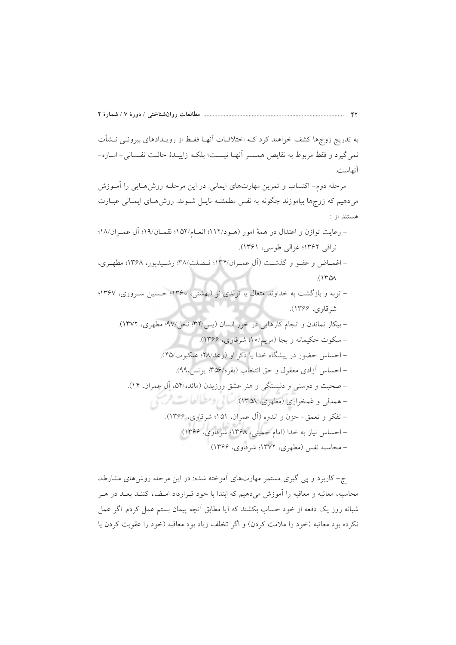به تدریج زوجها کشف خواهند کرد کـه اختلافـات اَنهـا فقـط از رویـدادهای بیرونـی نــشأت نمي گيرد و فقط مربوط به نقايص همـسر أنهـا نيـست؛ بلكـه زاييـدۀ حالـت نفـساني- امـاره-آنهاست.

مرحله دوم– اکتساب و تمرین مهارتهای ایمانی: در این مرحلـه روشهـایی را آمـوزش میدهیم که زوجها بیاموزند چگونه به نفس مطمئنـه نایـل شـوند. روش۵حای ایمـانی عبـارت هستند از :

- رعايت توازن و اعتدال در همهٔ امور (هـود/۱۱۲؛ انعـام/۵۲؛ لقمـان/۱۹؛ آل عمـران/۱۸؛ نراقبي ١٣۶٢؛ غزالي طوسي، ١٣۶١).
- اغمـاض و عفـو و گذشـت (آل عمـران١٣۴/؛ فـصلت١٣٨/ رشـيديور، ١٣۶٨؛ مطهـري،  $(140)$
- توبه و بازگشت به خداوند متعال یا تولدی نو (بهشتی، ۱۳۶۰؛ حسین سـروری، ۱۳۶۷؛ شرقاوي، ۱۳۶۶).

ج- کاربرد و پی گیری مستمر مهارتهای آموخته شده: در این مرحله روشهای مشارطه، محاسبه، معاتبه و معاقبه را آموزش میدهیم که ابتدا با خود قـرارداد امـضاء کننـد بعـد در هـر شبانه روز یک دفعه از خود حساب بکشند که آیا مطابق آنچه پیمان بستم عمل کردم. اگر عمل نکرده بود معاتبه (خود را ملامت کردن) و اگر تخلف زیاد بود معاقبه (خود را عقوبت کردن یا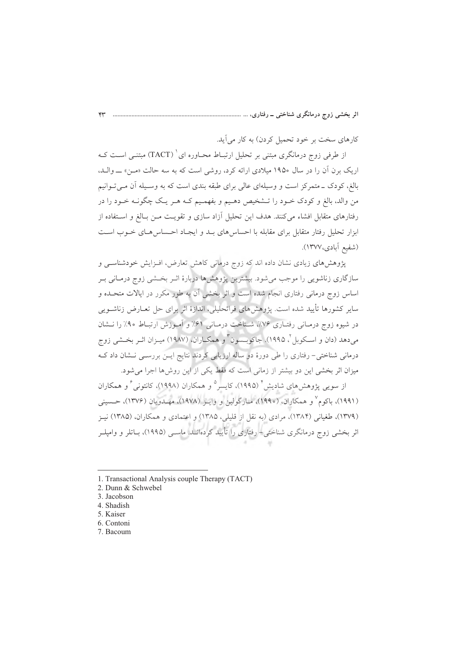کارهای سخت بر خود تحمیل کردن) به کار می آید.

از طرفی زوج درمانگری مبتنی بر تحلیل ارتبــاط محــاوره ای ` (TACT) مبتنــی اســت کــه اریک برن آن را در سال ۱۹۵۰ میلادی ارائه کرد، روشی است که به سه حالت «مـن» ـــ والــد، بالغ، کودک ــ متمرکز است و وسیلهای عالمی برای طبقه بندی است که به وســیله آن مــی تــوانیم من والد، بالغ و کودک خـود را تـشخيص دهـيم و بفهمـيم کـه هـر يـک چگونـه خـود را در رفتارهای متقابل افشاء میکنند. هدف این تحلیل آزاد سازی و تقویت مـن بـالغ و اسـتفاده از ابزار تحلیل رفتار متقابل برای مقابله با احساس های بـد و ایجـاد احـساس هـای خـوب اسـت (شفيع آبادي،١٣٧٧).

پژوهش های زیادی نشان داده اند که زوج درمانی کاهش تعارض، افـزایش خودشناسـی و سازگاری زناشویی را موجب می شود. بیشترین پژوهش ها دربارهٔ اثـر بخـشی زوج درمـانی بـر اساس زوج درمانی رفتاری انجام شده است و اثر بخشی آن به طور مکرر در ایالات متحـده و سایر کشورها تأیید شده است. پژوهشهای فراتحلیلی، اندازهٔ اثر برای حل تعــارض زناشــویی در شیوه زوج درمـانی رفتـاری ۷۶٪، شـناخت درمـانی ۶۱٪ و آمـوزش ارتبـاط ۹۰٪ را نــشان مي،دهد (دان و اسـكوبل ّ، ١٩٩٥). جاكوبـسون ّ و همكــاران، (١٩٨٧) ميــزان اثــر بخــشي زوج درمانی شناختی- رفتاری را طی دورهٔ دو ساله ارزیابی کردند نتایج ایـن بررســی نـشان داد کـه میزان اثر بخشی این دو بیشتر از زمانی است که فقط یکی از این روشها اجرا می شود.

از سویی یژوهش های شادیش ٔ (۱۹۹۵)، کایسر<sup>ه</sup> و همکاران (۱۹۹۸)، کانتونی ٔ و همکاران (۱۹۹۱)، باکوم ٌ و همکاران، (۱۹۹۰)، مـارگولين و وايـز (۱۹۷۸)، مهـدويان (۱۳۷۶)، حـسيني (۱۳۷۹)، طغیانی (۱۳۸۴)، مرادی (به نقل از قلیلی، ۱۳۸۵) و اعتمادی و همکاران، (۱۳۸۵) نیـز اثر بخشی زوج درمانگری شناختی– رفتاری را تأیید کردهانــد. ماســی (۱۹۹۵)، بــاتلر و وامیلــر

<sup>1.</sup> Transactional Analysis couple Therapy (TACT)

<sup>2.</sup> Dunn & Schwebel

<sup>3.</sup> Jacobson

<sup>4.</sup> Shadish

<sup>5.</sup> Kaiser

<sup>6.</sup> Contoni

<sup>7.</sup> Bacoum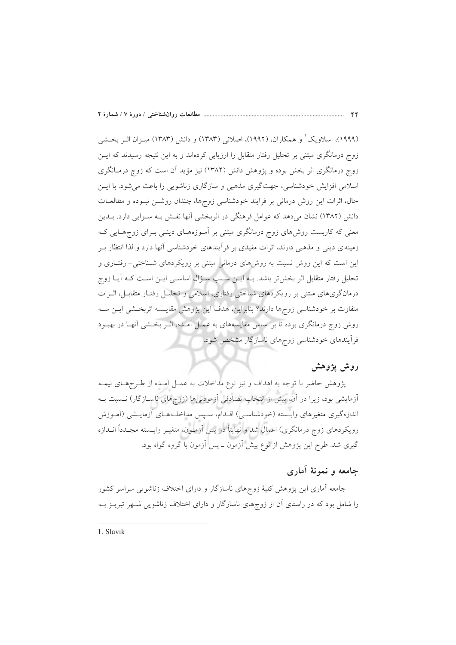(۱۹۹۹)، اسلاویک' و همکاران، (۱۹۹۲)، اصلانی (۱۳۸۳) و دانش (۱۳۸۳) میـزان اثـر بخـشی زوج درمانگری مبتنی بر تحلیل رفتار متقابل را ارزیابی کردهاند و به این نتیجه رسیدند که ایــز زوج درمانگری اثر بخش بوده و پژوهش دانش (۱۳۸۲) نیز مؤید آن است که زوج درمـانگری اسلامی افزایش خودشناسی، جهت گیری مذهبی و سازگاری زناشویی را باعث می شود. با ایس حال، اثرات این روش درمانی بر فرایند خودشناسی زوجها، چندان روشـن نبـوده و مطالعـات دانش (۱۳۸۲) نشان میدهد که عوامل فرهنگی در اثربخشی آنها نقش بـه سـزایی دارد. بـدین معنی که کاربست روش،های زوج درمانگری مبتنی بر آمـوزههـای دینـی بـرای زوجهـایی کـه زمینهای دینی و مذهبی دارند، اثرات مفیدی بر فرآیندهای خودشناسی آنها دارد و لذا انتظار بـر این است که این روش نسبت به روشهای درمانی مبتنی بر رویکردهای شـناختی- رفتـاری و تحلیل رفتار متقابل اثر بخش تر باشد. بـه ایــن سـبب ســؤال اساســی ایــن اســت کــه آیــا زوج درمانگریهای مبتنی بر رویکردهای شناختی رفتاری، اسلامی و تحلیـل رفتـار متقابـل، اثــرات متفاوت بر خودشناسی زوجها دارند؟ بنابراین، هدف این پژوهش مقایسه اثربخشی ایـن سـه روش زوج درمانگری بوده تا بر اساس مقایسههای به عمـل آمـده، اثـر بخـشی آنهـا در بهبـود فراًیندهای خودشناسی زوجهای ناسازگار مشخص شود.

# روش يژوهش

یژوهش حاضر با توجه به اهداف و نیز نوع مداخلات به عمـل آمـده از طـرحهـای نیمـه آزمایشی بود، زیرا در آن، پیش از انتخاب تصادفی آزمودنیها (زوجهای ناسـازگار) نـــسبت بــه اندازهگیری متغیرهای وابسته (خودشناسی) اقـدام، سـیس مداخلـههـای آزمایـشی (آمـوزش رویکردهای زوج درمانگری) اعمال شد و نهایتاً در پس آزمـون. متغیـر وابــسته مجـدداً انــدازه گیری شد. طرح این پژوهش از نوع پیش آزمون ــ پس آزمون با گروه گواه بود.

### جامعه و نمونهٔ أماری

جامعه أماری این پژوهش کلیهٔ زوجهای ناسازگار و دارای اختلاف زناشویی سراسر کشور را شامل بود که در راستای آن از زوجهای ناسازگار و دارای اختلاف زناشویی شـهر تبریـز بـه

1. Slavik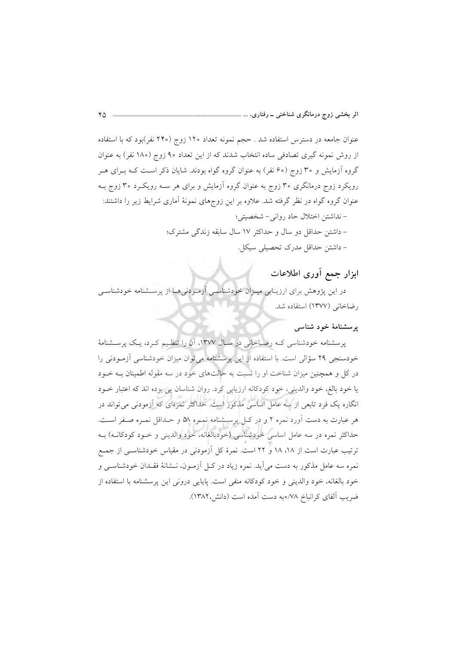عنوان جامعه در دسترس استفاده شد . حجم نمونه تعداد ۱۲۰ زوج (۲۴۰ نفر)بود که با استفاده از روش نمونه گیری تصادفی ساده انتخاب شدند که از این تعداد ۹۰ زوج (۱۸۰ نفر) به عنوان گروه آزمایش و ۳۰ زوج (۶۰ نفر) به عنوان گروه گواه بودند. شایان ذکر است کـه بـرای هـر رویکرد زوج درمانگری ۳۰ زوج به عنوان گروه آزمایش و برای هر سـه رویکـرد ۳۰ زوج بـه عنوان گروه گواه در نظر گرفته شد. علاوه بر این زوجهای نمونهٔ آماری شرایط زیر را داشتند: – نداشتن اختلال حاد رواني- شخصيتي؛ - داشتن حداقل دو سال و حداکثر ١٧ سال سابقه زندگی مشترک؛ - داشتن حداقل مدرک تحصیلی سیکل.

# ابزار جمع أورى اطلاعات

در این پژوهش برای ارزیـابی میـزان خودشناسـی آزمـودنی۵هـا از پرسـشنامه خودشناسـی رضاخانی (١٣٧٧) استفاده شد.

#### یرسشنامهٔ خود شناسی

پرسشنامه خودشناسی کـه رضـاخانی در سـال ۱۳۷۷، آن را تنظـیم کـرد، یـک پرسـشنامهٔ خودسنجی ۲۹ سؤالی است. با استفاده از این پرسشنامه می توان میزان خودشناسی آزمودنی را در کل و همچنین میزان شناخت او را نسبت به حالتهای خود در سه مقوله اطمینان بـه خـود يا خود بالغ، خود والديني، خود كودكانه ارزيابي كرد. روان شناسان يي برده اند كه اعتبار خـود انگاره یک فرد تابعی از سه عامل اساسی مذکور است. حداکثر نمرهای که آزمودنی می تواند در هر عبارت به دست آورد نمره ۲ و در کـل پرسـشنامه نمـره ۵۸ و حـداقل نمـره صـفر اسـت. حداکثر نمره در سه عامل اساسی خودشناسی (خودبالغانه، خود والدینی و خـود کودکانـه) بـه ترتیب عبارت است از ۱۸، ۱۸ و ۲۲ است. نمرهٔ کل آزمودنی در مقیاس خودشناسـی از جمـع نمره سه عامل مذکور به دست می آید. نمره زیاد در کـل آزمـون، نــشانهٔ فقـدان خودشناسـی و خود بالغانه، خود والديني و خود كودكانه منفي است. پايايي دروني اين پرسشنامه با استفاده از ضريب آلفاي كرانباخ ٧٨/هبه دست آمده است (دانش،١٣٨٢).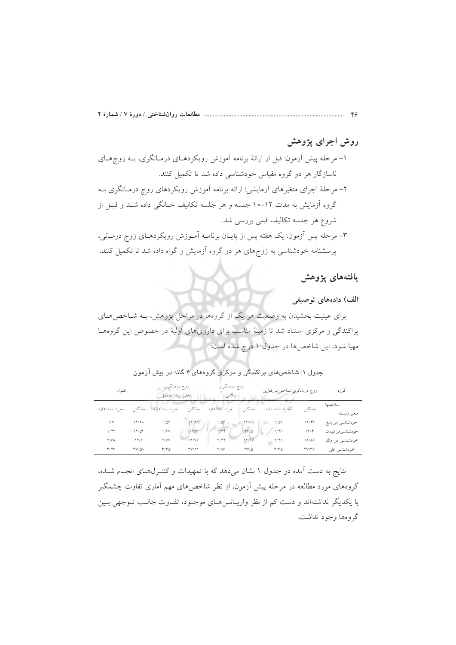# روش اجرای یژوهش

۱– مرحله پیش آزمون: قبل از ارائهٔ برنامه آموزش رویکردهـای درمـانگری، بــه زوجهـای ناسازگار هر دو گروه مقیاس خودشناسی داده شد تا تکمیل کنند. ۲– مرحلهٔ اجرای متغیرهای آزمایشی: ارائه برنامه آموزش رویکردهای زوج درمـانگری بـه گروه آزمایش به مدت ۱۲–۱۰ جلسه و هر جلسه تکالیف خــانگی داده شــد و قبــل از شروع هر جلسه تكاليف قبلي بررسي شد. ۳– مرحله پس آزمون: یک هفته پس از پایــان برنامــه آمــوزش رویکردهــای زوج درمــانی، پرسشنامه خودشناسی به زوجهای هر دو گروه آزمایش و گواه داده شد تا تکمیل کنند.

يافتههاى يژوهش

الف) دادههای توصیفی

برای عینیت بخشیدن به وضعیت هر یک از گروهها در مراحل پژوهش، بـه شـاخص هـای پراکندگی و مرکزی استناد شد تا زمینهٔ مناسب برای داوریهای اولیهٔ در خصوص این گروهها مهیا شود، این شاخصها در جدول ۱ درج شده است:

جدول ۱: شاخصهای پراکندگی و مرکزی گروههای ۴ گانه در پیش آزمون

| كترل              |                   | زوج درمانگری<br>تحليل رفتار متقابل |         | زوج درمانگری<br>اسلامى |              | زوج درمانگری شناختی ــ رفتاری |         | گروه                   |
|-------------------|-------------------|------------------------------------|---------|------------------------|--------------|-------------------------------|---------|------------------------|
| انح اف استاندار د | ميانگين           | انحراف استاندارد                   | ميانگين | انحراف استاندارد       | ميانگين      | انحراف استاندارد              | ميانگين | شاخصها<br>متغير وابسته |
| $\sqrt{}$         | 17/T <sub>o</sub> | $1/\Delta P$                       | NY/K    | $1/\Delta P$           | <b>IT/VA</b> | $1/\Delta q$                  | 17/97   | خودشناسي من بالغ       |
| 1/47              | 17/01             | 1/8V                               | 17/T    | 144                    | 17/0         | 1/46                          | 17/7    | خودشناسيءن كودك        |
| <b>Y/VA</b>       | 17/9              | Y/VV                               | 17/VG   | Y/Y                    | 17/99        | ۲/۴۱                          | 17/A9   | خودشناسي من والد       |
| Y/Y               | <b>TV/QA</b>      | T/TQ                               | TV/Y    | $Y/\Lambda$ ۶          | $TV/\Delta$  | $T/\mathcal{F} \Delta$        | TV/Y    | خودشناسي كلى           |

نتایج به دست آمده در جدول ۱ نشان میدهد که با تمهیدات و کنتـرلهـای انجـام شـده، گروههای مورد مطالعه در مرحله پیش آزمون، از نظر شاخصهای مهم آماری تفاوت چشمگیر با یکدیگر نداشتهاند و دست کم از نظر واریـانس۱صای موجـود، تفـاوت جالـب تــوجهی بــین گروهها وجود نداشت.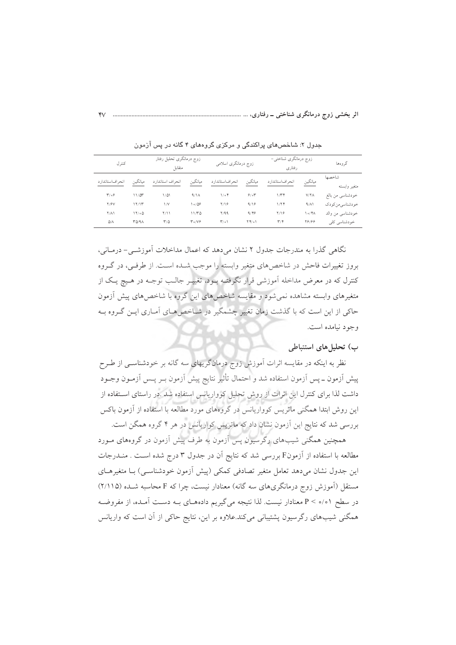| كترل             |              | زوج درمانگری تحلیل رفتار<br>متقابل |                      | زوج درمانگری اسلامی |                                      | زوج درمانگری شناختی–<br>رفتاري |                     | گروهها                 |
|------------------|--------------|------------------------------------|----------------------|---------------------|--------------------------------------|--------------------------------|---------------------|------------------------|
| انحراف استاندارد | ميانگين      | انحراف استاندارد                   | ميانگين              | انح اف استاندار د   | ميانگين                              | انحراف استاندار د              | ميانگين             | شاخصها<br>متغير وابسته |
| $T/\circ 9$      | 11/25        | $1/\Delta1$                        | 9/1A                 | $1/\circ f$         | 9/07                                 | 1/Tf                           | $V/\Upsilon\Lambda$ | خودشناسي من بالغ       |
| Y/9V             | 17/17        | $\frac{1}{V}$                      | ۹۵/۵۶                | Y/19                | 9/19                                 | 1/74                           | 9/11                | خودشناسي من كودك       |
| $Y/\Lambda$      | 17/00        | ۲/۱۱                               | 11/TQ                | Y/99                | 9/89                                 | Y/19                           | $\eta \circ \pi$    | خودشناسی من والد       |
| $\Delta/\Lambda$ | <b>٣۵/٩٨</b> | $r/\Delta$                         | $T \circ /V \hat{r}$ | $T/\circ 1$         | $\Upsilon \uparrow / \circ \Upsilon$ | $\mathbf{r}/\mathbf{r}$        | 78188               | خودشناسی کلی           |

جدول ۲: شاخصهای پراکندگی و مرکزی گروههای ۴ گانه در پس آزمون

نگاهی گذرا به مندرجات جدول ۲ نشان میدهد که اعمال مداخلات آموزشـی- درمـانی، بروز تغییرات فاحش در شاخصهای متغیر وابسته را موجب شـده اسـت. از طرفـی، در گـروه کنترل که در معرض مداخله آموزشی قرار نگرفتـه پـود، تغییـر جالـب توجـه در هـیج یـک از متغیرهای وابسته مشاهده نمی شود و مقایسه شاخصهای این گروه با شاخصهای پیش آزمون حاکی از این است که با گذشت زمان تغییر چشمگیر در شـاخص هـای آمـاری ایــن گــروه بــه وجود نيامده است.

#### ب) تحلیل های استنباطی

نظر به اینکه در مقایسه اثرات آموزش زوج درمانگریهای سه گانه بر خودشناسـی از طـرح پیش آزمون ــ پس آزمون استفاده شد و احتمال تأثیر نتایج پیش آزمون بــر پــس آزمــون وجــود داشت لذا برای کنترل این اثرات از روش تحلیل کوواریانس استفاده شد .در راستای استفاده از این روش ابتدا همگنی ماتریس کوواریانس در گروههای مورد مطالعه با استفاده از آزمون باکس بررسی شد که نتایج این آزمون نشان داد که ماتریس کواریانس در هر ۴ گروه همگن است.

همچنین همگنی شیبهای رگرسیون پس اَزمون به طرف پیش اَزمون در گروههای مــورد مطالعه با استفاده از آزمونF بررسی شد که نتایج آن در جدول ۳ درج شده است . منـدرجات این جدول نشان میدهد تعامل متغیر تصادفی کمکی (پیش آزمون خودشناسـی) بـا متغیرهـای مستقل (آموزش زوج درمانگریهای سه گانه) معنادار نیست، چرا که F محاسبه شـده (۲/۱۱۵) در سطح ٥/٥١ > P معنادار نيست. لذا نتيجه مي گيريم دادههـاي بـه دسـت آمـده، از مفروضـه همگنی شیبهای رگرسیون پشتیبانی میکند.علاوه بر این، نتایج حاکی از آن است که واریانس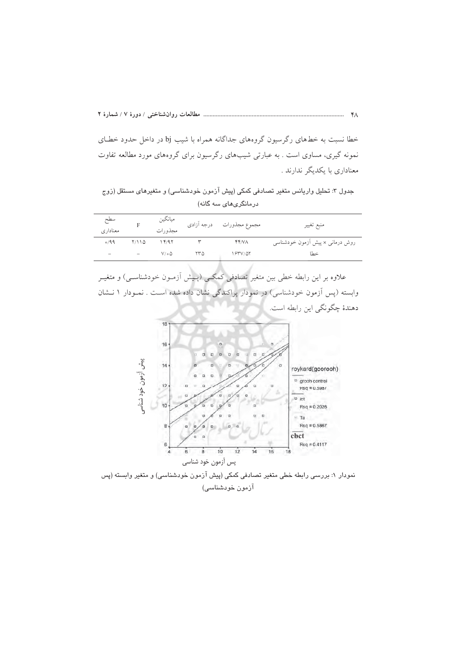خطا نسبت به خطهای رگرسیون گروههای جداگانه همراه با شیب bj در داخل حدود خطـای نمونه گیری، مساوی است . به عبارتی شیبهای رگرسیون برای گروههای مورد مطالعه تفاوت معناداری با یکدیگر ندارند .

جدول ۳: تحلیل واریانس متغیر تصادفی کمکی (پیش آزمون خودشناسی) و متغیرهای مستقل (زوج درمانگریهای سه گانه)

| سطح<br>معناداري |       | ميانگين<br>مجذو رات |     | مجموع مجذورات درجه أزادى | منبع تغيير                      |
|-----------------|-------|---------------------|-----|--------------------------|---------------------------------|
| 0/99            | 7/110 | 14/97               |     | YY/N                     | روش درمانی × پیش أزمون خودشناسی |
| -               |       | $V/\circ \Delta$    | ۲۳۵ | 1837/07                  | خطا                             |

.<br>علاوه بر این رابطه خطی بین متغیر تصادفی کمکـی (پـیش آزمـون خودشناسـی) و متغیـر وابسته (پس آزمون خودشناسی) در نمودار پراکندگی نشان داده شده است . نمـودار ۱ نـشان دهندهٔ چگونگی این رابطه است.



نمودار ۱: بررسی رابطه خطی متغیر تصادفی کمکی (پیش آزمون خودشناسی) و متغیر وابسته (پس آزمون خودشناسی)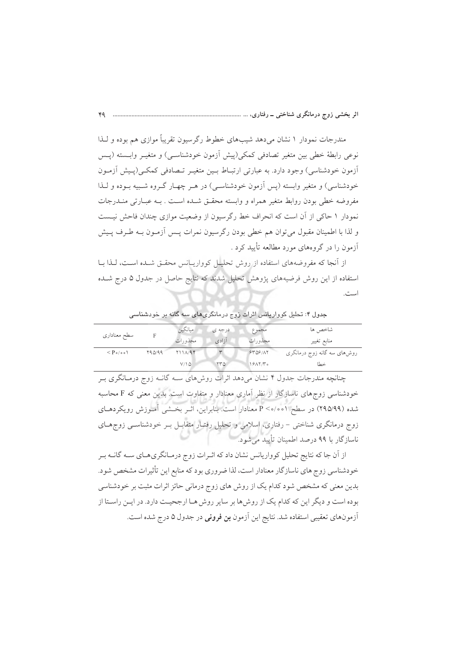مندرجات نمودار ۱ نشان میدهد شیبهای خطوط رگرسیون تقریباً موازی هم بوده و لـذا نوعي رابطهٔ خطي بين متغير تصادفي كمكي(ييش أزمون خودشناسـي) و متغيـر وابــسته (يــس أزمون خودشناسی) وجود دارد. به عبارتی ارتبـاط بـین متغیـر تـصادفی کمکـی(پـیش آزمـون خودشناسی) و متغیر وابسته (پس آزمون خودشناسـی) در هـر چهـار گـروه شـبیه بـوده و لـذا مفروضه خطي بودن روابط متغير همراه و وابسته محقـق شـده اسـت . بـه عبـارتـي منـدرجات نمودار ۱ حاکی از آن است که انحراف خط رگرسیون از وضعیت موازی چندان فاحش نیست و لذا با اطمینان مقبول میتوان هم خطی بودن رگرسیون نمرات پس آزمـون بـه طـرف پـیش آزمون را در گروههای مورد مطالعه تأیید کرد .

از آنجا که مفروضههای استفاده از روش تحلیل کوواریانس محقق شـده اسـت، لـذا بـا استفاده از این روش فرضیههای پژوهش تحلیل شدند که نتایج حاصل در جدول ۵ درج شده است.

ميانگين درجه ي مجموع شاخص ها سطح معناداري  $\overline{\mathrm{F}}$ مجذورات آزادی مجذورات منابع تغيير  $\leq P_{\circ/\circ\circ}$ روشهای سه گانه زوج درمانگری  $Y90/99$  $Y11A/9$  $STNS/AY$  $rr\omega$  $V/\Delta$  $19AY/T<sub>0</sub>$ 

جدول ۴: تحلیل کوواریانس اثرات زوج درمانگری۵ای سه گانه بر خودشناسی

چنانچه مندرجات جدول ۴ نشان می دهد اثرات روش های سـه گانـه زوج درمـانگری بـر خودشناسی زوجهای ناسازگار از نظر آماری معنادار و متفاوت است. بدین معنی که F محاسبه شده (۹۹/۵/۹۹) در سطح ۰/۰۰/۰ معنادار است. بنابراین، اثـر بخـشی اَمـوزش رویکردهـای زوج درمانگری شناختی – رفتاری، اسلامی و تحلیل رفتـار متقابـل بـر خودشناسـی زوجهـای ناسازگار با ۹۹ درصد اطمینان تأیید می شود.

از آن جا که نتایج تحلیل کوواریانس نشان داد که اثـرات زوج درمـانگری۵حـای ســه گانــه بـر خودشناسی زوج های ناسازگار معنادار است، لذا ضروری بود که منابع این تأثیرات مشخص شود. بدین معنی که مشخص شود کدام یک از روش های زوج درمانی حائز اثرات مثبت بر خودشناسی بوده است و دیگر این که کدام یک از روش ها بر سایر روش هـا ارجحیـت دارد. در ایـن راسـتا از آزمونهای تعقیبی استفاده شد. نتایج این آزمون **بن فرونی** در جدول ۵ درج شده است.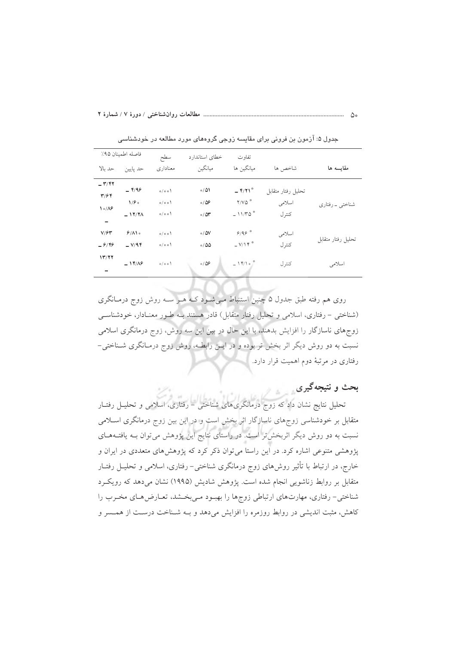|                                                     | فاصله اطمينان ٩۵٪  | سطح          | خطای استاندارد             | تفاوت                                             |                    |                    |
|-----------------------------------------------------|--------------------|--------------|----------------------------|---------------------------------------------------|--------------------|--------------------|
| حد ىالا                                             | حد پايين           | معناداری     | ميانگين                    | مبانگين ها                                        | شاخص ها            | مقايسه ها          |
| $ \mathbf{r}/\mathbf{r}$<br>$\mathbf{r}/\mathbf{r}$ | $ 99$              | o/o o        | 0/01                       | $ Y/Y$ <sup>*</sup>                               | تحليل رفتار متقابل |                    |
| $\sqrt{\frac{6}{2}}$                                | $1/f$ .<br>$-11/7$ | 0/00<br>0/00 | 0/25<br>0/0r               | $Y/V\Delta$ <sup>*</sup><br>$-11/70$ <sup>*</sup> | اسلامى<br>كنتر ل   | شناختی ۔ رفتاری    |
| $\overline{\phantom{a}}$                            |                    |              |                            |                                                   |                    |                    |
| V/FV<br>$-9/99$                                     | 9/10<br>$-V/9$ ۴   | 0/00<br>0/00 | $\circ / \Delta V$<br>0/00 | 9/99<br>$-V/Y$                                    | اسلامی<br>كنتر ل   | تحليل رفتار متقابل |
| 17/77                                               | $-14/8$            | 0/00         | 0/29                       | $-14/10$                                          | كنتر ل             | اسلامى             |
|                                                     |                    |              |                            |                                                   |                    |                    |

جدول ۵: آرْمون بن فرونی برای مقایسه زوجی گروههای مورد مطالعه در خودشناسی

روی هم رفته طبق جدول ۵ چنین استنباط مـیشـود کـه هـر سـه روش زوج درمـانگری (شناختی – رفتاری، اسلامی و تحلیل رفتار متقابل) قادر هستند بـه طـور معنـادار، خودشناسـی زوجهای ناسازگار را افزایش بدهند، با این حال در بین این سه روش، زوج درمانگری اسلامی نسبت به دو روش دیگر اثر بخش تر بوده و در ایــن رابطــه، روش زوج درمــانگری شــناختی-رفتاری در مرتبهٔ دوم اهمیت قرار دارد.

#### بحث و نتیجهگیری

تحلیل نتایج نشان داد که زوج درمانگریهای شناختی – رفتاری، اسلامی و تحلیـل رفتـار متقابل بر خودشناسی زوجهای ناسازگار اثر بخش است و در این بین زوج درمانگری اسـلامی نسبت به دو روش دیگر اثربخشتر است. در راستای نتایج این پژوهش می توان بـه یافتـههـای پژوهشی متنوعی اشاره کرد. در این راستا میتوان ذکر کرد که پژوهشهای متعددی در ایران و خارج، در ارتباط با تأثیر روش۵های زوج درمانگری شناختی– رفتاری، اسلامی و تحلیـل رفتـار متقابل بر روابط زناشویی انجام شده است. یژوهش شادیش (۱۹۹۵) نشان می دهد که رویک و شناختی- رفتاری، مهارتهای ارتباطی زوجها را بهبود مـیبخـشد، تعـارض هـای مخـرب را کاهش، مثبت اندیشی در روابط روزمره را افزایش میدهد و بـه شـناخت درسـت از همـسر و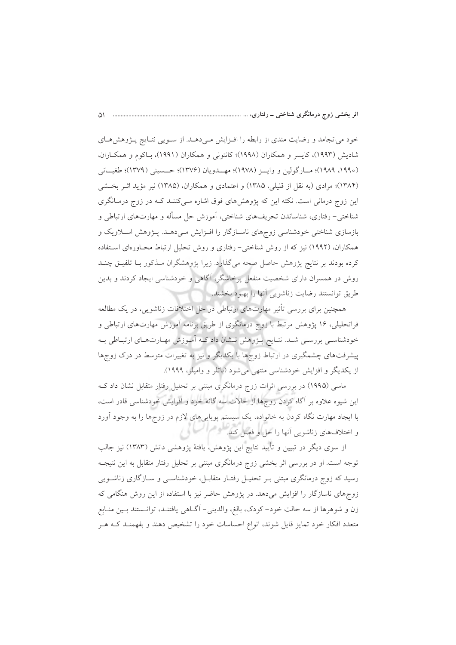خود میانجامد و رضایت مندی از رابطه را افـزایش مـیدهــد. از سـویی نتـایج پـژوهشهـای شاديش (١٩٩٣)، كايسر و همكاران (١٩٩٨)؛ كانتونى و همكاران (١٩٩١)، بـاكوم و همكـاران، (١٩٩٠، ١٩٨٩)؛ مسارگولين و وايسز (١٩٧٨)؛ مهسدويان (١٣٧۶)؛ حسسيني (١٣٧٩)؛ طغيساني (۱۳۸۴)؛ مرادی (به نقل از قلیلی، ۱۳۸۵) و اعتمادی و همکاران، (۱۳۸۵) نیر مؤید اثـر بخـشی این زوج درمانی است. نکته این که پژوهشهای فوق اشاره مـیکننـد کـه در زوج درمـانگری شناختی- رفتاری، شناساندن تحریفهای شناختی، آموزش حل مسأله و مهارتهای ارتباطی و بازسازی شناختی خودشناسی زوجهای ناسـازگار را افـزایش مـی۵هــد. پــژوهش اســلاویک و همکاران، (۱۹۹۲) نیز که از روش شناختی- رفتاری و روش تحلیل ارتباط محـاورهای اسـتفاده کرده بودند بر نتایج پژوهش حاصل صحه میگذارد. زیرا پژوهشگران مـذکور بـا تلفیـق چنـد روش در همسران دارای شخصیت منفعل پرخاشگر، آگاهی و خودشناسی ایجاد کردند و بدین طريق توانستند رضايت زناشويي آنها را بهبود بخشند.

همچنین برای بررسی تأثیر مهارتهای ارتباطی در حل اختلافات زناشویی، در یک مطالعه فراتحلیلی، ۱۶ پژوهش مرتبط با زوج درمانگری از طریق برنامه آموزش مهارتهای ارتباطی و خودشناسـی بررسـی شـد. نتـایج پــژوهش نــشان داد کــه آمــوزش مهــارتهــای ارتبــاطی بــه پیشرفتهای چشمگیری در ارتباط زوجها با یکدیگر و نیز به تغییرات متوسط در درک زوجها از یکدیگر و افزایش خودشناسی منتهی می شود (باتلر و وامیلر، ۱۹۹۹).

ماسی (۱۹۹۵) در بررسی اثرات زوج درمانگری مبتنی بر تحلیل رفتار متقابل نشان داد ک این شیوه علاوه بر آگاه کردن زوجها از حالات سه گانه خود و افزایش خودشناسی قادر است، با ایجاد مهارت نگاه کردن به خانواده، یک سیستم پویاییهای لازم در زوجها را به وجود آورد و اختلافهای زناشویی آنها را حل و فصل کند.

از سوی دیگر در تبیین و تأیید نتایج این پژوهش، یافتهٔ پژوهشی دانش (۱۳۸۳) نیز جالب توجه است. او در بررسی اثر بخشی زوج درمانگری مبتنی بر تحلیل رفتار متقابل به این نتیجـه رسید که زوج درمانگری مبتنی بـر تحلیـل رفتـار متقابـل، خودشناسـی و سـازگاری زناشـویی زوجهای ناسازگار را افزایش میدهد. در پژوهش حاضر نیز با استفاده از این روش هنگامی که زن و شوهرها از سه حالت خود– كودك، بالغ، والديني– آگــاهي يافتنــد، توانــستند بــين منــابع متعدد افکار خود تمایز قایل شوند، انواع احساسات خود را تشخیص دهند و بفهمنـد کـه هـر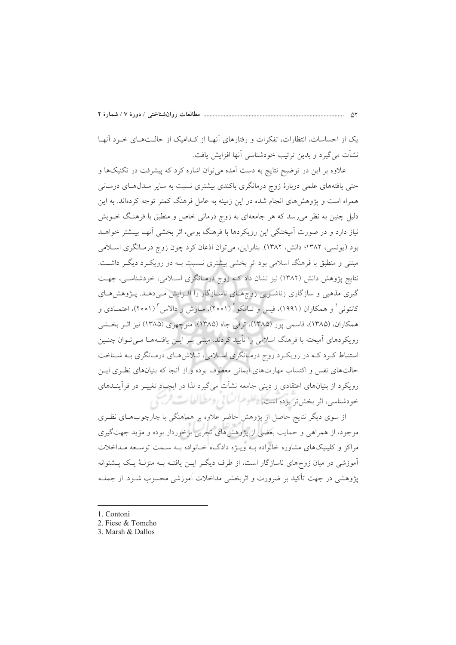یک از احساسات، انتظارات، تفکرات و رفتارهای آنهـا از کـدامیک از حالـتهـای خـود آنهـا نشأت مي گيرد و بدين ترتيب خودشناسي آنها افزايش يافت.

علاوه بر این در توضیح نتایج به دست آمده می توان اشاره کرد که پیشرفت در تکنیکها و حتی یافتههای علمی دربارهٔ زوج درمانگری باکندی بیشتری نسبت به سایر مـدل۵هـای درمـانی همراه است و پژوهشهای انجام شده در این زمینه به عامل فرهنگ کمتر توجه کردهاند. به این دلیل چنین به نظر میرسد که هر جامعهای به زوج درمانی خاص و منطبق با فرهنگ خــویش نیاز دارد و در صورت آمیختگی این رویکردها با فرهنگ بومی، اثر بخشی آنهـا بیــشتر خواهــد بود (یونسی، ۱۳۸۲؛ دانش، ۱۳۸۲). بنابراین، می توان اذعان کرد چون زوج درمـانگری اسـلامی مبتنی و منطبق با فرهنگ اسلامی بود اثر بخشی بیشتری نـسبت بــه دو رویکــرد دیگــر داشــت. نتایج پژوهش دانش (۱۳۸۲) نیز نشان داد کـه زوج درمـانگری اسـلامی، خودشناسـی، جهـت گیری مذهبی و سازگاری زناشویی زوجهای ناسازگار را افـزایش مـیدهـد. پـژوهشهـای كانتوني ٰ و همكاران (١٩٩١)، فيس و تـامكو ٔ (٢٥٥١)، مـارش و دالاس ٔ (٢٥٥١)، اعتمـادي و همکاران، (۱۳۸۵)، قاسمی یور (۱۳۸۵)، ترقی جاه (۱۳۸۵)، منوچهری (۱۳۸۵) نیز اثر بخشی رویکردهای آمیخته با فرهنگ اسلامی را تأیید کردند. مبتنی بـر ایــن یافتــههــا مــیتــوان چنــین استنباط کـرد کـه در رویکـرد زوج درمـانگری اسـلامی، تـلاش۵مـای درمـانگری بـه شـناخت حالتهای نفس و اکتساب مهارتهای ایمانی معطوف بوده و از آنجا که بنیانهای نظری ایـن رویکرد از بنیانهای اعتقادی و دینی جامعه نشأت میگیرد لذا در ایجیاد تغییـر در فرآینــدهای حودشناسی، اثر بخش تر بوده استکاه *علوم السا*لی ومطالعات *السی از ت*ی

از سوی دیگر نتایج حاصل از پژوهش حاضر علاوه بر هماهنگی با چارچوبهای نظـری موجود، از همراهی و حمایت بعضی از پژوهشهای تجربی برخوردار بوده و مؤید جهتگیری مراکز و کلینیکهای مشاوره خانواده بـه ویـژه دادگـاه خـانواده بـه سـمت توسـعه مـداخلات آموزشی در میان زوجهای ناسازگار است، از طرف دیگر ایـن یافتـه بـه منزلـهٔ یـک پــشتوانه یژوهشی در جهت تأکید بر ضرورت و اثربخشی مداخلات آموزشی محسوب شــود. از جملــه

- 1. Contoni
- 2. Fiese & Tomcho
- 3. Marsh & Dallos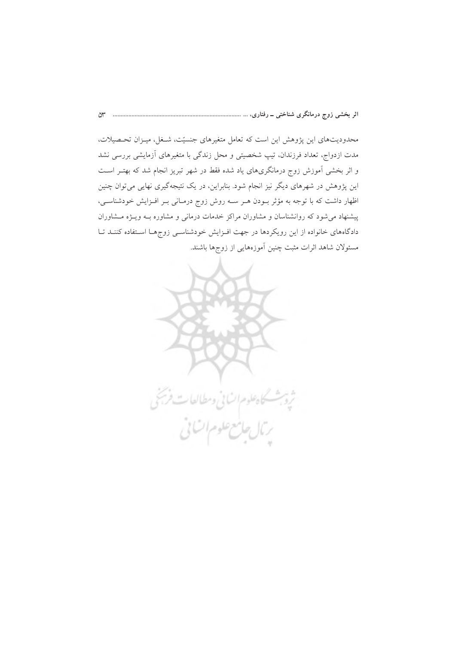محدودیتهای این پژوهش این است که تعامل متغیرهای جنسیّت، شـغل، میـزان تحـصیلات، مدت ازدواج، تعداد فرزندان، تیپ شخصیتی و محل زندگی با متغیرهای آزمایشی بررسی نشد و اثر بخشی اَموزش زوج درمانگریهای یاد شده فقط در شهر تبریز انجام شد که بهتـر اسـت این پژوهش در شهرهای دیگر نیز انجام شود. بنابراین، در یک نتیجهگیری نهایی میتوان چنین اظهار داشت که با توجه به مؤثر بـودن هـر سـه روش زوج درمـانی بـر افـزایش خودشناسـی، پیشنهاد می شود که روانشناسان و مشاوران مراکز خدمات درمانی و مشاوره بـه ویـژه مـشاوران دادگاههای خانواده از این رویکردها در جهت افـزایش خودشناسـی زوجهـا اسـتفاده کننــد تــا مسئولان شاهد اثرات مثبت چنین آموزههایی از زوجها باشند.

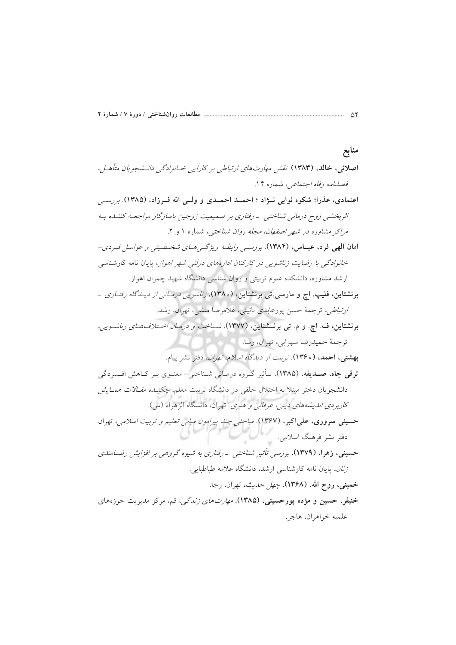حسینی، زهرا، (۱۳۷۹). بررسی تأثیر شناختی - رفتاری به شیوه گروهی بر افزایش رضـامندی *زنان*، پایان نامه کارشناسی ارشد، دانشگاه علامه طباطبایی. **خمینی، روح الله، (۱۳۶۸).** *چهل حدیث،* تهران، رجا. خنیفر، حسین و مژده پورحسینی، (۱۳۸۵). *مهارت های زندگی،* قم، مرکز مدیریت حوزههای علميه خواهران، هاجر.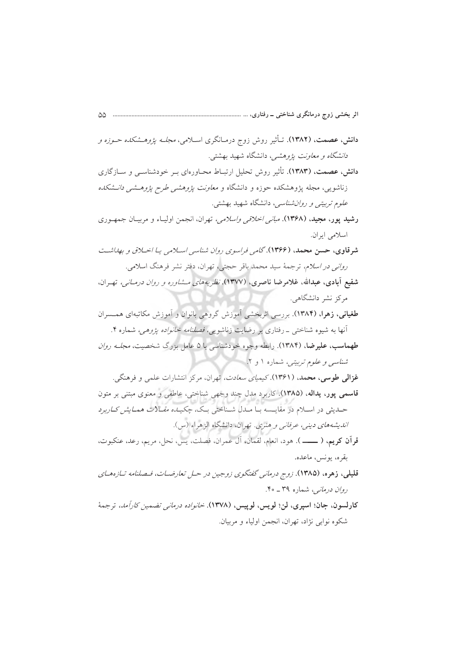- **دانش، عصمت، (۱۳۸۲)**. تـأثیر روش زوج درمـانگری اسـلامی، *مجلـه پژوهـشکده حـوزه و* د*انشگاه و معاونت پژوهشی*، دانشگاه شهید بهشت<u>ی</u>.
- دانش، عصمت، (۱۳۸۳). تأثیر روش تحلیل ارتبــاط محــاورهای بــر خودشناســـی و ســازگاری زناشویی، مجله پژوهشکده حوزه و دانشگاه و *معاونت پژوهش<sub>می</sub> طرح پژوهــشی دانــشکده علوم تربیتی و روان شناسی*، دانشگاه شهید بهشتی.
- **رشید پور، مجید، (۱۳۶۸).** *مبانی اخلاقی واسلامی،* تهران، انجمن اولیـاء و مربیـان جمهـوری اسلامي ايران.
- شرقاوي، حسن محمد، (۱۳۶۶). گامه فراسوي روان شناسي اسلامي با اخبلاقي و بهداشت ر*واني در اسلام*، ترجمهٔ سيد محمد باقر حجتي، تهران، دفتر نشر فرهنگ اسلامي.
- **شفیع آبادی، عبدالله، غلامرضا ناصری، (۱۳۷۷).** نظر *به های مشاوره و روان درمیانی،* تهران، مرکز نشر دانشگاهی.
- طغیانی، زهرا، (۱۳۸۴). بررسی اثربخشی آموزش گروهی بانوان و آموزش مکاتبهای همسران آنها به شیوه شناختی \_رفتاری بر رضایت زناشویی*ی، فصلنامه خانواده پژوهی،* شماره ۴.
- طهماسب، علیرضا، (۱۳۸۴). رابطه وجوه خودشناسی با ۵ عامل بزرگ شخصیت، *مجلـه روان* شناسبی و علوم تربیتی، شماره ۱ و ۲.
- **غزالی طوسی، محمد، (۱۳۶۱)**.کیمی*ای سعادت،* تهران، مرکز انتشارات علمی و فرهنگی. قاسمي پور، يداله، (١٣٨٥). كاربرد مدل چند وجهي شناختي، عاطفي و معنوي مبتني بر متون حــدیثی در اســلام در مقایــسه بــا مــدل شــناختی بــک، چکیـ*ـده مقــالات همــایش کــارب*رد ا*نديشههاي ديني، عرفاني و هنري.* تهران، دانشگاه الزهراء (س).
- قرآن كريم، ( ـــــ). هود، انعام، لقمان، آل عمران، فصلت، يس، نحل، مريم، رعد، عنكبوت، بقره، يونس، ماعده.
- قلیلی، زهره، (۱۳۸۵). زوج درمان<sub>ی</sub> گفتگوی زوجین در حـل تعارضـات، فـصلنامه تـازههـای ر*وان درمانی،* شماره ۳۹ ـ ۴۰.
- كارلسون، جان؛ اسپرى، لن؛ لويس، لوپيس، (١٣٧٨). *خانواده درماني تضمين كارأمد،* ترجمهٔ شکوه نوابي نژاد، تهران، انجمن اولياء و مربيان.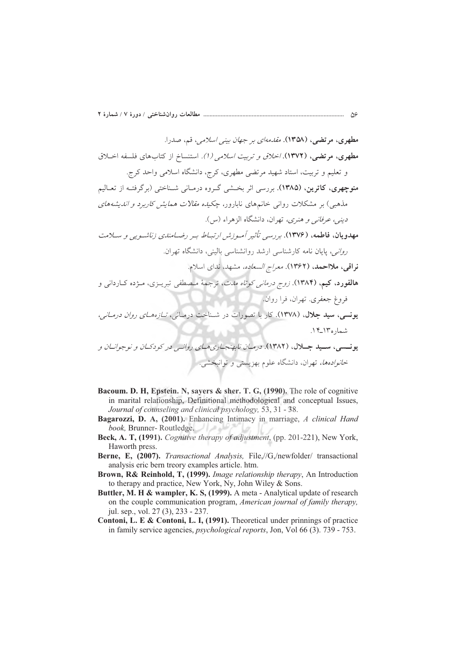- Bacoum. D. H. Epstein. N. sayers & sher. T. G. (1990). The role of cognitive in marital relationship, Definitional methodological and conceptual Issues, Journal of counseling and clinical psychology, 53, 31 - 38.
- Bagarozzi, D. A, (2001). Enhancing Intimacy in marriage, A clinical Hand book, Brunner-Routledge.
- Beck, A. T, (1991). Cognitive therapy of adjustment, (pp. 201-221), New York, Haworth press.
- Berne, E, (2007). Transactional Analysis, File,//G,/newfolder/ transactional analysis eric bern treory examples article. htm.
- Brown, R& Reinhold, T, (1999). Image relationship therapy, An Introduction to therapy and practice, New York, Ny, John Wiley & Sons.
- Buttler, M. H & wampler, K. S, (1999). A meta Analytical update of research on the couple communication program, American journal of family therapy, jul. sep., vol. 27 (3), 233 - 237.
- Contoni, L. E & Contoni, L. I, (1991). Theoretical under prinnings of practice in family service agencies, *psychological reports*, Jon, Vol 66 (3). 739 - 753.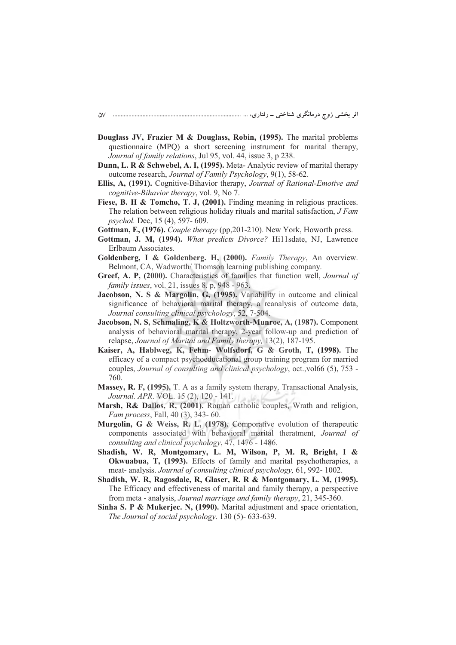- **Douglass JV, Frazier M & Douglass, Robin, (1995).** The marital problems questionnaire (MPQ) a short screening instrument for marital therapy, *Journal of family relations*, Jul 95, vol. 44, issue 3, p 238.
- **Dunn, L. R & Schwebel, A. I, (1995).** Meta- Analytic review of marital therapy outcome research, *Journal of Family Psychology*, 9(1), 58-62.
- **Ellis, A, (1991).** Cognitive-Bihavior therapy, *Journal of Rational-Emotive and cognitive-Bihavior therapy*, vol. 9, No 7.
- Fiese, B. H & Tomcho, T. J, (2001). Finding meaning in religious practices. The relation between religious holiday rituals and marital satisfaction, *J Fam psychol.* Dec, 15 (4), 597- 609.
- **Gottman, E, (1976).** *Couple therapy* (pp,201-210). New York, Howorth press.
- **Gottman, J. M, (1994).** *What predicts Divorce?* Hi11sdate, NJ, Lawrence Erlbaum Associates.
- **Goldenberg, I & Goldenberg. H, (2000).** *Family Therapy*, An overview. Belmont, CA, Wadworth/ Thomson learning publishing company.
- **Greef, A. P, (2000).** Characteristics of families that function well, *Journal of family issues*, vol. 21, issues 8. p, 948 - 963.
- **Jacobson, N. S & Margolin, G, (1995).** Variability in outcome and clinical significance of behavioral marital therapy, a reanalysis of outcome data, *Journal consulting clinical psychology*, 52, 7-504.
- **Jacobson, N. S, Schmaling, K & Holtzworth-Munroe, A, (1987).** Component analysis of behavioral marital therapy, 2-year follow-up and prediction of relapse, *Journal of Marital and Family therapy,* 13(2), 187-195.
- **Kaiser, A, Hablweg, K, Fehm- Wolfsdorf, G & Groth, T, (1998).** The efficacy of a compact psychoeducational group training program for married couples, *Journal of consulting and clinical psychology*, oct.,vol66 (5), 753 - 760.
- **Massey, R. F, (1995).** T. A as a family system therapy. Transactional Analysis, *Journal. APR*. VOL. 15 (2), 120 - 141.
- **Marsh, R& Dallos, R, (2001).** Roman catholic couples, Wrath and religion, *Fam process*, Fall, 40 (3), 343- 60.
- **Murgolin, G & Weiss, R. L, (1978).** Comporative evolution of therapeutic components associated with behavioral marital theratment, *Journal of consulting and clinical psychology*, 47, 1476 - 1486.
- **Shadish, W. R, Montgomary, L. M, Wilson, P, M. R, Bright, I & Okwuabua, T, (1993).** Effects of family and marital psychotherapies, a meat- analysis. *Journal of consulting clinical psychology,* 61, 992- 1002.
- **Shadish, W. R, Ragosdale, R, Glaser, R. R & Montgomary, L. M, (1995).** The Efficacy and effectiveness of marital and family therapy, a perspective from meta - analysis, *Journal marriage and family therapy*, 21, 345-360.
- **Sinha S. P & Mukerjec. N, (1990).** Marital adjustment and space orientation, *The Journal of social psychology*. 130 (5)- 633-639.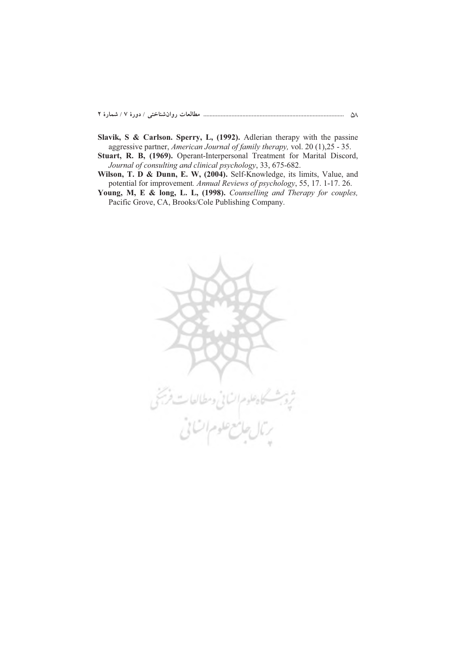- **Slavik, S & Carlson. Sperry, L, (1992).** Adlerian therapy with the passine aggressive partner, *American Journal of family therapy,* vol. 20 (1),25 - 35.
- **Stuart, R. B, (1969).** Operant-Interpersonal Treatment for Marital Discord, *Journal of consulting and clinical psychology*, 33, 675-682.
- **Wilson, T. D & Dunn, E. W, (2004).** Self-Knowledge, its limits, Value, and potential for improvement*. Annual Reviews of psychology*, 55, 17. 1-17. 26.
- **Young, M, E & long, L. L, (1998).** *Counselling and Therapy for couples,* Pacific Grove, CA, Brooks/Cole Publishing Company.

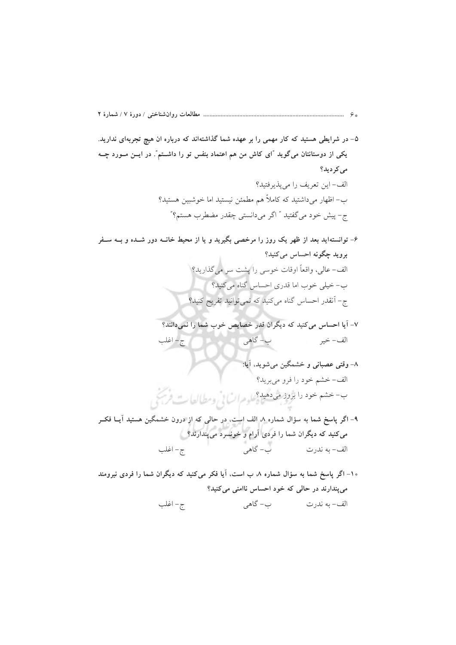- ۵– در شرایطی هستید که کار مهمی را بر عهده شما گذاشتهاند که درباره ان هیچ تجربهای ندارید. یکی از دوستانتان میگوید "ای کاش من هم اعتماد بنفس تو را داشــتم". در ایــن مــورد چــه می کر دید؟ الف- اين تعريف را مي يذير فتيد؟ ب– اظهار میداشتید که کاملاً هم مطمئن نیستید اما خوشبین هستید؟ ج- پیش خود میگفتید " اگر میدانستی چقدر مضطرب هستم؟"
- ۶- توانستهاید بعد از ظهر یک روز را مرخصی بگیرید و یا از محیط خانــه دور شــده و بــه ســفر بروید چگونه احساس میکنید؟ الف- عالی، واقعاً اوقات خوسی را پشت سر میگذارید؟ ب- خیلی خوب اما قدری احساس گناه می کنید؟ ج- آنقدر احساس گناه میکنید که نمی توانید تفریح کنید؟
	- ٧- آيا احساس مي كنيد كه ديگران قدر خصايص خوب شما را نمي دانند؟ ح-اغلب ب- گاهي الف – خير
	- ٨- وقتي عصباني و خشمگين مي شويد، آيا: الف-خشم خود را فرو مي بريد؟ ب- حشم خود را برود می دهید؟ له مرات! نرومطالعات فرسخ
- ۹– اگر پاسخ شما به سؤال شماره ۸ الف است، در حالی که از درون خشمگین هستید آیــا فکــر میکنید که دیگران شما را فردی آرام و خونسرد میپندارند؟ الف- به ندرت مسموت ب- گاهي — – اغلب<br>-
- ۱۰– اگر پاسخ شما به سؤال شماره ۸ ب است، آیا فکر میکنید که دیگران شما را فردی نیرومند می پندارند در حالی که خود احساس ناامنی میکنید؟ ج- اغلب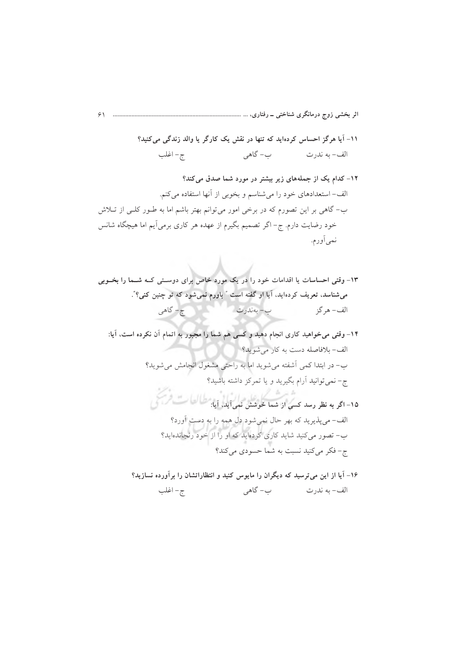١١- آيا هرگز احساس كردهايد كه تنها در نقش يک كارگر يا والد زندگي مي كنيد؟ ج – اغلب ب– گاهي الف– به ندرت

۱۳- وقتی احساسات یا اقدامات خود را در یک مورد خاص برای دوستی کـه شـما را بخــوبی میشناسد، تعریف کردهاید، آیا او گفته است " باورم نمیشود که تو چنین کنی؟". ج – گاهي الف – هر گز ب– بەندرت

۱۴- وقتی می خواهید کاری انجام دهید و کسی هم شما را مجبور به اتمام آن نکرده است، آیا: الف- بلافاصله دست به کار می شوید؟ ب- در ابتدا کمی آشفته میشوید اما به راحتی مشغول انجامش میشوید؟ ج- نمي توانيد آرام بگيريد و يا تمركز داشته باشيد؟ ۔<br>۱۵- اگر به نظر رسد کسی از شما لمحوشش نمی آید، آیا: <sup>ط</sup>طالعا ست فریکی

الف-مي پذيريد که بهر حال نمي شود دل همه را به دست آورد؟ ب– تصور میکنید شاید کاری کردهاید که او را از خود رنجاندهاید؟ ج- فكر مى كنيد نسبت به شما حسودى مى كند؟

۱۶- آیا از این میترسید که دیگران را مایوس کنید و انتظاراتشان را برآورده نسازید؟ الف- به ندرت کاهي ج – اغلب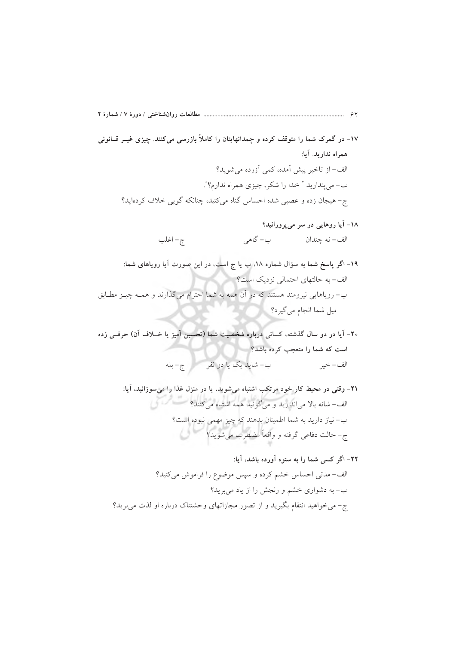- ۱۷- در گمرک شما را متوقف کرده و چمدانهایتان را کاملاً بازرسی می کنند. چیزی غیــر قــانونی همراه نداريد. آيا: الف- از تاخیر پیش آمده، کمی آزرده می شوید؟ ب- مي پنداريد " خدا را شكر، چيزي همراه ندارم؟". ج- هیجان زده و عصبی شده احساس گناه میکنید، چنانکه گویی خلاف کردهاید؟
	- ۱۸– آیا روهایی در سر می پرورانید؟ ب- گاهي الف– نه جندان ج- اغلب
- ۱۹– اگر پاسخ شما به سؤال شماره ۱۸، ب یا ج است، در این صورت آیا رویاهای شما: الف- به حالتهای احتمالی نزدیک است؟ ب– رویاهایی نیرومند هستند که در آن همه به شما احترام میگذارند و همـه چیــز مطـابق میل شما انجام می گیرد؟
- ۲۰- آیا در دو سال گذشته، کسانی درباره شخصیت شما (تحسین آمیز یا خــلاف آن) حرفــی زده است که شما را متعجب کرده باشد؟ ب- شايد يک يا دو نفر مسمع ج- بله الف – خبر
	- ٢١- وقتی در محیط کار خود مرتکب اشتباه میشوید، یا در منزل غذا را می سوزانید، آیا: الف-شانه بالا می|ندازید و میگوئید همه اشتباه میکنند؟ ب– نیاز دارید به شما اطمینان بدهند که چیز مهمی نبوده است؟ ج- حالت دفاعی گرفته و واقعاً مضطرب میشوید؟
	- ۲۲– اگر کسی شما را به ستوه آورده باشد، آیا: الف-مدتی احساس خشم کرده و سپس موضوع را فراموش میکنید؟ ب– به دشواری خشم و رنجش را از یاد می برید؟ ج- می خواهید انتقام بگیرید و از تصور مجازاتهای وحشتناک درباره او لذت می برید؟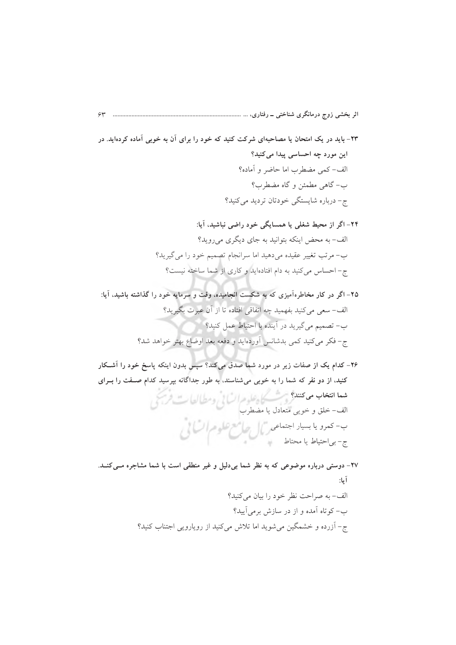- ۲۳- باید در یک امتحان یا مصاحبهای شرکت کنید که خود را برای آن به خوبی آماده کردهاید. در این مورد چه احساسی پیدا میکنید؟ الف-كمى مضطرب اما حاضر و آماده؟ ب- گاهي مطمئن و گاه مضطرب؟ ج- درباره شایستگی خودتان تردید میکنید؟
	- ۲۴- اگر از محیط شغلی یا همسایگی خود راضی نباشید، آیا: الف- به محض اینکه بتوانید به جای دیگری می روید؟ ب- مرتب تغییر عقیده می دهید اما سرانجام تصمیم خود را می گیرید؟ ج- احساس می کنید به دام افتادهاید و کاری از شما ساخته نیست؟
- ۲۵– اگر در کار مخاطرهآمیزی که به شکست انجامیده، وقت و سرمایه خود را گذاشته باشید، آیا: الف– سعی می کنید بفهمید چه اتفاقی افتاده تا از آن عبرت بگیرید؟ ب- تصمیم میگیرید در آینده با احتیاط عمل کنید؟ ج- فكر مي كنيد كمي بدشانس أوردهايد و دفعه بعد اوضاع بهتر خواهد شد؟
- ۲۶- کدام یک از صفات زیر در مورد شما صدق میکند؟ سپس بدون اینکه پاسخ خود را آشــکار کنید، از دو نفر که شما را به خوبی میشناسند، به طور جداگانه بپرسید کدام صـفت را بــرای شعا انتخاب می کنند؟ می کسیم علوم السائی ومطالعات فریجی<br>الف- خلق و خویی متعادل یا مضطرب ب- کعدو یا بسیار اجتها*عه <sub>ر</sub>یمال حاضع علوم ات*انی<br>ما والیا مانستانی ج- بي|حتياط يا محتاط
- ٢٧- دوستي درباره موضوعي كه به نظر شما بي دليل و غير منطقي است با شما مشاجره مبي كنـد. آيا: الف-به صراحت نظر خود را بيان مي كنيد؟ ب– کوتاه آمده و از در سازش برمیآیید؟ ج- آزرده و خشمگین می شوید اما تلاش می کنید از رویارویی اجتناب کنید؟